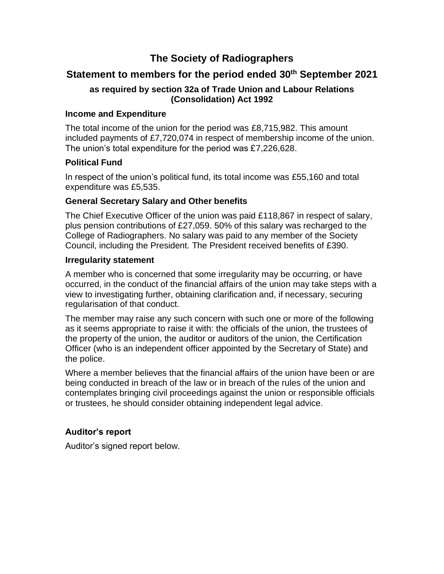# **The Society of Radiographers**

# **Statement to members for the period ended 30th September 2021**

# **as required by section 32a of Trade Union and Labour Relations (Consolidation) Act 1992**

# **Income and Expenditure**

The total income of the union for the period was £8,715,982. This amount included payments of £7,720,074 in respect of membership income of the union. The union's total expenditure for the period was £7,226,628.

# **Political Fund**

In respect of the union's political fund, its total income was £55,160 and total expenditure was £5,535.

# **General Secretary Salary and Other benefits**

The Chief Executive Officer of the union was paid £118,867 in respect of salary, plus pension contributions of £27,059. 50% of this salary was recharged to the College of Radiographers. No salary was paid to any member of the Society Council, including the President. The President received benefits of £390.

# **Irregularity statement**

A member who is concerned that some irregularity may be occurring, or have occurred, in the conduct of the financial affairs of the union may take steps with a view to investigating further, obtaining clarification and, if necessary, securing regularisation of that conduct.

The member may raise any such concern with such one or more of the following as it seems appropriate to raise it with: the officials of the union, the trustees of the property of the union, the auditor or auditors of the union, the Certification Officer (who is an independent officer appointed by the Secretary of State) and the police.

Where a member believes that the financial affairs of the union have been or are being conducted in breach of the law or in breach of the rules of the union and contemplates bringing civil proceedings against the union or responsible officials or trustees, he should consider obtaining independent legal advice.

# **Auditor's report**

Auditor's signed report below.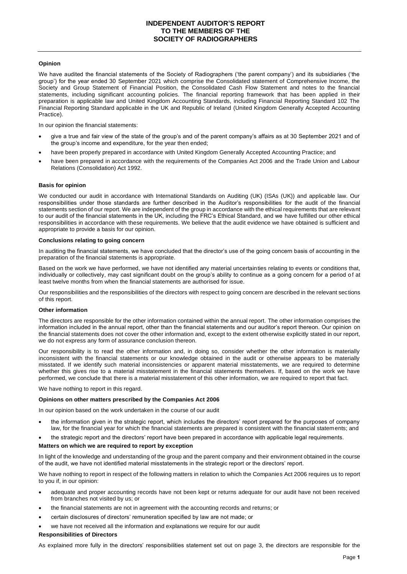### **Opinion**

We have audited the financial statements of the Society of Radiographers ('the parent company') and its subsidiaries ('the group') for the year ended 30 September 2021 which comprise the Consolidated statement of Comprehensive Income, the Society and Group Statement of Financial Position, the Consolidated Cash Flow Statement and notes to the financial statements, including significant accounting policies. The financial reporting framework that has been applied in their preparation is applicable law and United Kingdom Accounting Standards, including Financial Reporting Standard 102 The Financial Reporting Standard applicable in the UK and Republic of Ireland (United Kingdom Generally Accepted Accounting Practice).

In our opinion the financial statements:

- give a true and fair view of the state of the group's and of the parent company's affairs as at 30 September 2021 and of the group's income and expenditure, for the year then ended;
- have been properly prepared in accordance with United Kingdom Generally Accepted Accounting Practice; and
- have been prepared in accordance with the requirements of the Companies Act 2006 and the Trade Union and Labour Relations (Consolidation) Act 1992.

#### **Basis for opinion**

We conducted our audit in accordance with International Standards on Auditing (UK) (ISAs (UK)) and applicable law. Our responsibilities under those standards are further described in the Auditor's responsibilities for the audit of the financial statements section of our report. We are independent of the group in accordance with the ethical requirements that are relevant to our audit of the financial statements in the UK, including the FRC's Ethical Standard, and we have fulfilled our other ethical responsibilities in accordance with these requirements. We believe that the audit evidence we have obtained is sufficient and appropriate to provide a basis for our opinion.

#### **Conclusions relating to going concern**

In auditing the financial statements, we have concluded that the director's use of the going concern basis of accounting in the preparation of the financial statements is appropriate.

Based on the work we have performed, we have not identified any material uncertainties relating to events or conditions that, individually or collectively, may cast significant doubt on the group's ability to continue as a going concern for a period of at least twelve months from when the financial statements are authorised for issue.

Our responsibilities and the responsibilities of the directors with respect to going concern are described in the relevant sections of this report.

### **Other information**

The directors are responsible for the other information contained within the annual report. The other information comprises the information included in the annual report, other than the financial statements and our auditor's report thereon. Our opinion on the financial statements does not cover the other information and, except to the extent otherwise explicitly stated in our report, we do not express any form of assurance conclusion thereon.

Our responsibility is to read the other information and, in doing so, consider whether the other information is materially inconsistent with the financial statements or our knowledge obtained in the audit or otherwise appears to be materially misstated. If we identify such material inconsistencies or apparent material misstatements, we are required to determine whether this gives rise to a material misstatement in the financial statements themselves. If, based on the work we have performed, we conclude that there is a material misstatement of this other information, we are required to report that fact.

We have nothing to report in this regard.

### **Opinions on other matters prescribed by the Companies Act 2006**

In our opinion based on the work undertaken in the course of our audit

- the information given in the strategic report, which includes the directors' report prepared for the purposes of company law, for the financial year for which the financial statements are prepared is consistent with the financial statements; and
- the strategic report and the directors' report have been prepared in accordance with applicable legal requirements.

### **Matters on which we are required to report by exception**

In light of the knowledge and understanding of the group and the parent company and their environment obtained in the course of the audit, we have not identified material misstatements in the strategic report or the directors' report.

We have nothing to report in respect of the following matters in relation to which the Companies Act 2006 requires us to report to you if, in our opinion:

- adequate and proper accounting records have not been kept or returns adequate for our audit have not been received from branches not visited by us; or
- the financial statements are not in agreement with the accounting records and returns; or
- certain disclosures of directors' remuneration specified by law are not made; or
- we have not received all the information and explanations we require for our audit

#### **Responsibilities of Directors**

As explained more fully in the directors' responsibilities statement set out on page 3, the directors are responsible for the